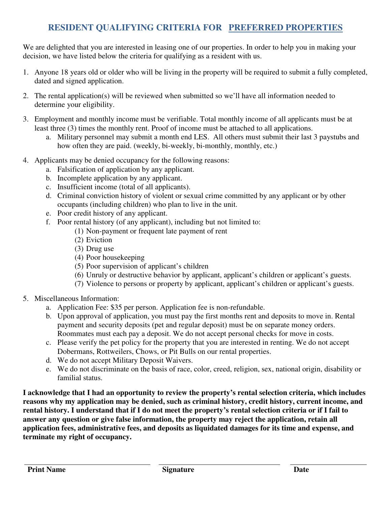# **RESIDENT QUALIFYING CRITERIA FOR PREFERRED PROPERTIES**

We are delighted that you are interested in leasing one of our properties. In order to help you in making your decision, we have listed below the criteria for qualifying as a resident with us.

- 1. Anyone 18 years old or older who will be living in the property will be required to submit a fully completed, dated and signed application.
- 2. The rental application(s) will be reviewed when submitted so we'll have all information needed to determine your eligibility.
- 3. Employment and monthly income must be verifiable. Total monthly income of all applicants must be at least three (3) times the monthly rent. Proof of income must be attached to all applications.
	- a. Military personnel may submit a month end LES. All others must submit their last 3 paystubs and how often they are paid. (weekly, bi-weekly, bi-monthly, monthly, etc.)
- 4. Applicants may be denied occupancy for the following reasons:
	- a. Falsification of application by any applicant.
	- b. Incomplete application by any applicant.
	- c. Insufficient income (total of all applicants).
	- d. Criminal conviction history of violent or sexual crime committed by any applicant or by other occupants (including children) who plan to live in the unit.
	- e. Poor credit history of any applicant.
	- f. Poor rental history (of any applicant), including but not limited to:
		- (1) Non-payment or frequent late payment of rent
		- (2) Eviction
		- (3) Drug use
		- (4) Poor housekeeping
		- (5) Poor supervision of applicant's children
		- (6) Unruly or destructive behavior by applicant, applicant's children or applicant's guests.
		- (7) Violence to persons or property by applicant, applicant's children or applicant's guests.
- 5. Miscellaneous Information:
	- a. Application Fee: \$35 per person. Application fee is non-refundable.
	- b. Upon approval of application, you must pay the first months rent and deposits to move in. Rental payment and security deposits (pet and regular deposit) must be on separate money orders. Roommates must each pay a deposit. We do not accept personal checks for move in costs.
	- c. Please verify the pet policy for the property that you are interested in renting. We do not accept Dobermans, Rottweilers, Chows, or Pit Bulls on our rental properties.
	- d. We do not accept Military Deposit Waivers.
	- e. We do not discriminate on the basis of race, color, creed, religion, sex, national origin, disability or familial status.

**I acknowledge that I had an opportunity to review the property's rental selection criteria, which includes reasons why my application may be denied, such as criminal history, credit history, current income, and rental history. I understand that if I do not meet the property's rental selection criteria or if I fail to answer any question or give false information, the property may reject the application, retain all application fees, administrative fees, and deposits as liquidated damages for its time and expense, and terminate my right of occupancy.**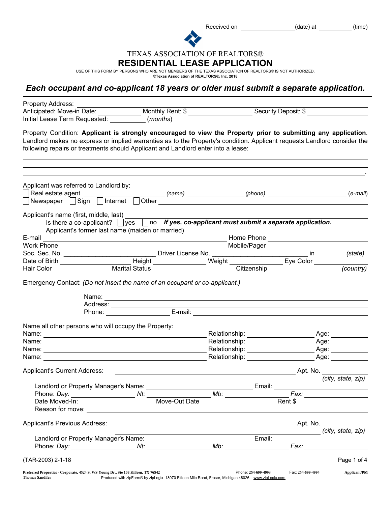Received on \_\_\_\_\_\_\_\_\_\_\_\_\_\_\_\_\_\_\_\_\_\_\_(date) at \_\_\_\_\_\_\_\_\_\_\_(time)

TEXAS ASSOCIATION OF REALTORS®

## RESIDENTIAL LEASE APPLICATION

USE OF THIS FORM BY PERSONS WHO ARE NOT MEMBERS OF THE TEXAS ASSOCIATION OF REALTORS® IS NOT AUTHORIZED.<br>©Texas Association of **REALTORS®, Inc. 2018** 

## *Each occupant and co-applicant 18 years or older must submit a separate application.*

| Property Address:                                                                                                                                                                                                                                                                                                                                            |                                                                                                                                                                                                                                                                                                                                                                                                                                                                   |                                                                                                                                                                                                                                |                      |                                      |
|--------------------------------------------------------------------------------------------------------------------------------------------------------------------------------------------------------------------------------------------------------------------------------------------------------------------------------------------------------------|-------------------------------------------------------------------------------------------------------------------------------------------------------------------------------------------------------------------------------------------------------------------------------------------------------------------------------------------------------------------------------------------------------------------------------------------------------------------|--------------------------------------------------------------------------------------------------------------------------------------------------------------------------------------------------------------------------------|----------------------|--------------------------------------|
| Anticipated: Move-in Date: Monthly Rent: \$<br>Initial Lease Term Requested: (months)                                                                                                                                                                                                                                                                        |                                                                                                                                                                                                                                                                                                                                                                                                                                                                   |                                                                                                                                                                                                                                | Security Deposit: \$ |                                      |
| Property Condition: Applicant is strongly encouraged to view the Property prior to submitting any application.<br>Landlord makes no express or implied warranties as to the Property's condition. Applicant requests Landlord consider the<br>following repairs or treatments should Applicant and Landlord enter into a lease: 1988 1998 1999 1999 1999 199 |                                                                                                                                                                                                                                                                                                                                                                                                                                                                   |                                                                                                                                                                                                                                |                      |                                      |
|                                                                                                                                                                                                                                                                                                                                                              |                                                                                                                                                                                                                                                                                                                                                                                                                                                                   |                                                                                                                                                                                                                                |                      |                                      |
| Applicant was referred to Landlord by:<br>Newspaper Sign Internet                                                                                                                                                                                                                                                                                            |                                                                                                                                                                                                                                                                                                                                                                                                                                                                   |                                                                                                                                                                                                                                |                      | $(e-mail)$                           |
| Applicant's name (first, middle, last)<br>Is there a co-applicant? $\Box$ yes $\Box$ no If yes, co-applicant must submit a separate application.<br>Applicant's former last name (maiden or married) ____________                                                                                                                                            |                                                                                                                                                                                                                                                                                                                                                                                                                                                                   |                                                                                                                                                                                                                                |                      |                                      |
| E-mail                                                                                                                                                                                                                                                                                                                                                       | <u> 1989 - Johann Stein, marwolaethau a bhann an t-Amhair an t-Amhair an t-Amhair an t-Amhair an t-Amhair an t-A</u>                                                                                                                                                                                                                                                                                                                                              |                                                                                                                                                                                                                                | Home Phone           |                                      |
|                                                                                                                                                                                                                                                                                                                                                              |                                                                                                                                                                                                                                                                                                                                                                                                                                                                   |                                                                                                                                                                                                                                |                      |                                      |
|                                                                                                                                                                                                                                                                                                                                                              |                                                                                                                                                                                                                                                                                                                                                                                                                                                                   |                                                                                                                                                                                                                                |                      |                                      |
|                                                                                                                                                                                                                                                                                                                                                              |                                                                                                                                                                                                                                                                                                                                                                                                                                                                   |                                                                                                                                                                                                                                |                      |                                      |
|                                                                                                                                                                                                                                                                                                                                                              |                                                                                                                                                                                                                                                                                                                                                                                                                                                                   |                                                                                                                                                                                                                                |                      |                                      |
|                                                                                                                                                                                                                                                                                                                                                              | Name: Name: Name: Name: Name: Name: Name: Name: Name: Name: Name: Name: Name: Name: Name: Name: Name: Name: Name: Name: Name: Name: Name: Name: Name: Name: Name: Name: Name: Name: Name: Name: Name: Name: Name: Name: Name:<br>Address:<br>Phone: E-mail: E-mail: E-mail: E-mail: E-mail: E-mail: E-mail: E-mail: E-mail: E-mail: E-mail: E-mail: E-mail: E-mail: E-mail: E-mail: E-mail: E-mail: E-mail: E-mail: E-mail: E-mail: E-mail: E-mail: E-mail: E-mai |                                                                                                                                                                                                                                |                      |                                      |
| Name all other persons who will occupy the Property:                                                                                                                                                                                                                                                                                                         |                                                                                                                                                                                                                                                                                                                                                                                                                                                                   |                                                                                                                                                                                                                                |                      |                                      |
|                                                                                                                                                                                                                                                                                                                                                              |                                                                                                                                                                                                                                                                                                                                                                                                                                                                   | Relationship: __________________                                                                                                                                                                                               |                      | _ Age: ___________                   |
|                                                                                                                                                                                                                                                                                                                                                              |                                                                                                                                                                                                                                                                                                                                                                                                                                                                   |                                                                                                                                                                                                                                |                      | Age: ___________                     |
|                                                                                                                                                                                                                                                                                                                                                              |                                                                                                                                                                                                                                                                                                                                                                                                                                                                   | Relationship: _____________________                                                                                                                                                                                            |                      |                                      |
| Name:                                                                                                                                                                                                                                                                                                                                                        |                                                                                                                                                                                                                                                                                                                                                                                                                                                                   | Relationship: example and the set of the set of the set of the set of the set of the set of the set of the set of the set of the set of the set of the set of the set of the set of the set of the set of the set of the set o |                      | Age: _______                         |
| <b>Applicant's Current Address:</b>                                                                                                                                                                                                                                                                                                                          |                                                                                                                                                                                                                                                                                                                                                                                                                                                                   |                                                                                                                                                                                                                                |                      | Apt. No.                             |
|                                                                                                                                                                                                                                                                                                                                                              |                                                                                                                                                                                                                                                                                                                                                                                                                                                                   |                                                                                                                                                                                                                                |                      | (city, state, zip)                   |
| Landlord or Property Manager's Name:                                                                                                                                                                                                                                                                                                                         |                                                                                                                                                                                                                                                                                                                                                                                                                                                                   |                                                                                                                                                                                                                                | Email:               |                                      |
| Date Moved-In: __________________________________Move-Out Date _________________                                                                                                                                                                                                                                                                             |                                                                                                                                                                                                                                                                                                                                                                                                                                                                   | Mb:                                                                                                                                                                                                                            |                      | Fax: ____________________<br>Rent \$ |
|                                                                                                                                                                                                                                                                                                                                                              |                                                                                                                                                                                                                                                                                                                                                                                                                                                                   |                                                                                                                                                                                                                                |                      |                                      |
|                                                                                                                                                                                                                                                                                                                                                              |                                                                                                                                                                                                                                                                                                                                                                                                                                                                   |                                                                                                                                                                                                                                |                      |                                      |
| Applicant's Previous Address:                                                                                                                                                                                                                                                                                                                                |                                                                                                                                                                                                                                                                                                                                                                                                                                                                   |                                                                                                                                                                                                                                |                      | (city, state, zip)                   |
|                                                                                                                                                                                                                                                                                                                                                              |                                                                                                                                                                                                                                                                                                                                                                                                                                                                   | the control of the control of the control of the control of the control of                                                                                                                                                     |                      |                                      |
|                                                                                                                                                                                                                                                                                                                                                              |                                                                                                                                                                                                                                                                                                                                                                                                                                                                   |                                                                                                                                                                                                                                |                      |                                      |
| (TAR-2003) 2-1-18                                                                                                                                                                                                                                                                                                                                            |                                                                                                                                                                                                                                                                                                                                                                                                                                                                   |                                                                                                                                                                                                                                |                      | Page 1 of 4                          |
| Preferred Properties - Corporate, 4524 S. WS Young Dr., Ste 103 Killeen, TX 76542<br><b>Thomas Sandifer</b>                                                                                                                                                                                                                                                  | Produced with zipForm® by zipLogix 18070 Fifteen Mile Road, Fraser, Michigan 48026 www.zipLogix.com                                                                                                                                                                                                                                                                                                                                                               | Phone: 254-699-4993                                                                                                                                                                                                            | Fax: 254-699-4994    | <b>Applicant/PM</b>                  |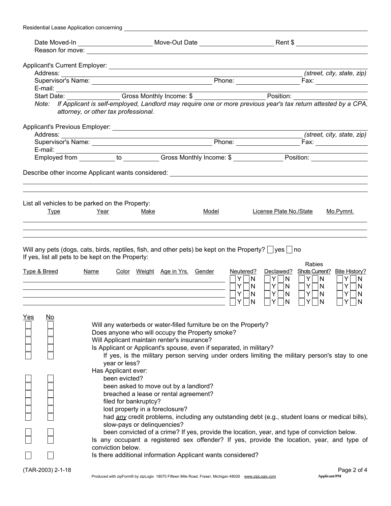| Residential Lease Application concerning           |                                                                                                                                                                                                                                                                                                                                                                                                                                                                                                                                                                                                        |       |                                                                                                                  |                                                                                                                                                                           |
|----------------------------------------------------|--------------------------------------------------------------------------------------------------------------------------------------------------------------------------------------------------------------------------------------------------------------------------------------------------------------------------------------------------------------------------------------------------------------------------------------------------------------------------------------------------------------------------------------------------------------------------------------------------------|-------|------------------------------------------------------------------------------------------------------------------|---------------------------------------------------------------------------------------------------------------------------------------------------------------------------|
|                                                    |                                                                                                                                                                                                                                                                                                                                                                                                                                                                                                                                                                                                        |       |                                                                                                                  |                                                                                                                                                                           |
|                                                    |                                                                                                                                                                                                                                                                                                                                                                                                                                                                                                                                                                                                        |       |                                                                                                                  |                                                                                                                                                                           |
|                                                    |                                                                                                                                                                                                                                                                                                                                                                                                                                                                                                                                                                                                        |       |                                                                                                                  |                                                                                                                                                                           |
|                                                    |                                                                                                                                                                                                                                                                                                                                                                                                                                                                                                                                                                                                        |       |                                                                                                                  | (street, city, state, zip)                                                                                                                                                |
|                                                    |                                                                                                                                                                                                                                                                                                                                                                                                                                                                                                                                                                                                        |       |                                                                                                                  |                                                                                                                                                                           |
|                                                    |                                                                                                                                                                                                                                                                                                                                                                                                                                                                                                                                                                                                        |       |                                                                                                                  |                                                                                                                                                                           |
|                                                    | E-mail: Start Date: Cross Monthly Income: \$                                                                                                                                                                                                                                                                                                                                                                                                                                                                                                                                                           |       |                                                                                                                  |                                                                                                                                                                           |
|                                                    | Note: If Applicant is self-employed, Landlord may require one or more previous year's tax return attested by a CPA,<br>attorney, or other tax professional.                                                                                                                                                                                                                                                                                                                                                                                                                                            |       |                                                                                                                  |                                                                                                                                                                           |
|                                                    |                                                                                                                                                                                                                                                                                                                                                                                                                                                                                                                                                                                                        |       |                                                                                                                  |                                                                                                                                                                           |
|                                                    |                                                                                                                                                                                                                                                                                                                                                                                                                                                                                                                                                                                                        |       |                                                                                                                  | (street, city, state, zip)                                                                                                                                                |
|                                                    |                                                                                                                                                                                                                                                                                                                                                                                                                                                                                                                                                                                                        |       |                                                                                                                  |                                                                                                                                                                           |
|                                                    |                                                                                                                                                                                                                                                                                                                                                                                                                                                                                                                                                                                                        |       |                                                                                                                  |                                                                                                                                                                           |
|                                                    |                                                                                                                                                                                                                                                                                                                                                                                                                                                                                                                                                                                                        |       |                                                                                                                  |                                                                                                                                                                           |
|                                                    |                                                                                                                                                                                                                                                                                                                                                                                                                                                                                                                                                                                                        |       |                                                                                                                  |                                                                                                                                                                           |
|                                                    | List all vehicles to be parked on the Property:                                                                                                                                                                                                                                                                                                                                                                                                                                                                                                                                                        |       |                                                                                                                  |                                                                                                                                                                           |
| <b>Type</b>                                        | Year<br>Make                                                                                                                                                                                                                                                                                                                                                                                                                                                                                                                                                                                           | Model | License Plate No./State                                                                                          | Mo.Pymnt.                                                                                                                                                                 |
|                                                    |                                                                                                                                                                                                                                                                                                                                                                                                                                                                                                                                                                                                        |       |                                                                                                                  |                                                                                                                                                                           |
| <u>Type &amp; Breed</u><br><u>Yes</u><br><u>No</u> | If yes, list all pets to be kept on the Property:<br><b>Name</b><br>Color Weight Age in Yrs. Gender<br>Will any waterbeds or water-filled furniture be on the Property?<br>Does anyone who will occupy the Property smoke?                                                                                                                                                                                                                                                                                                                                                                             |       | Neutered?<br>Declawed?<br>Y.<br> N <br>Y N<br>Y.<br>$Y\Box N$<br> N <br>Y<br>$Y \Box N$<br>N<br>Y<br>N<br>N<br>Y | <b>Rabies</b><br>Shots Current? Bite History?<br>$Y$ $ N$<br>$Y$ $ N$<br>$Y \Box N$<br>$Y \Box N$<br>$Y \cap N$<br>Y<br>N<br>$\overline{\phantom{0}}$<br>Y<br>N<br>Y<br>N |
|                                                    | Will Applicant maintain renter's insurance?<br>Is Applicant or Applicant's spouse, even if separated, in military?<br>If yes, is the military person serving under orders limiting the military person's stay to one<br>year or less?                                                                                                                                                                                                                                                                                                                                                                  |       |                                                                                                                  |                                                                                                                                                                           |
|                                                    | Has Applicant ever:<br>been evicted?<br>been asked to move out by a landlord?<br>breached a lease or rental agreement?<br>filed for bankruptcy?<br>lost property in a foreclosure?<br>had any credit problems, including any outstanding debt (e.g., student loans or medical bills),<br>slow-pays or delinquencies?<br>been convicted of a crime? If yes, provide the location, year, and type of conviction below.<br>Is any occupant a registered sex offender? If yes, provide the location, year, and type of<br>conviction below.<br>Is there additional information Applicant wants considered? |       |                                                                                                                  |                                                                                                                                                                           |
| (TAR-2003) 2-1-18                                  | Produced with zipForm® by zipLogix 18070 Fifteen Mile Road, Fraser, Michigan 48026 www.zipLogix.com                                                                                                                                                                                                                                                                                                                                                                                                                                                                                                    |       |                                                                                                                  | Page 2 of 4<br><b>Applicant/PM</b>                                                                                                                                        |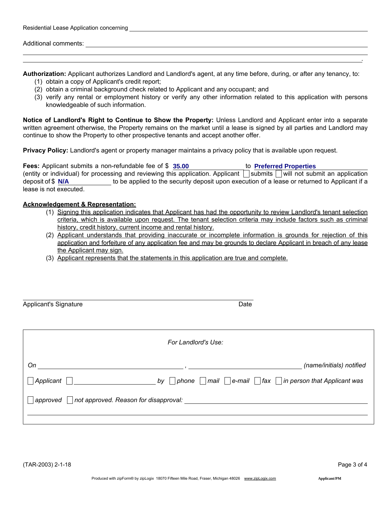| Residential Lease Application concerning |  |  |  |  |
|------------------------------------------|--|--|--|--|
|------------------------------------------|--|--|--|--|

Additional comments:

Authorization: Applicant authorizes Landlord and Landlord's agent, at any time before, during, or after any tenancy, to:

- (1) obtain a copy of Applicant's credit report;
- (2) obtain a criminal background check related to Applicant and any occupant; and
- (3) verify any rental or employment history or verify any other information related to this application with persons knowledgeable of such information.

Notice of Landlord's Right to Continue to Show the Property: Unless Landlord and Applicant enter into a separate written agreement otherwise, the Property remains on the market until a lease is signed by all parties and Landlord may continue to show the Property to other prospective tenants and accept another offer.

Privacy Policy: Landlord's agent or property manager maintains a privacy policy that is available upon request.

**Fees:** Applicant submits a non-refundable fee of  $\frac{1}{3}$  35.00 (entity or individual) for processing and reviewing this application. Applicant  $\Box$  submits  $\Box$  will not submit an application deposit of \$ N/A **to be applied to the security deposit upon** execution of a lease or returned to Applicant if a lease is not executed. **35.00 Preferred Properties**

### Acknowledgement & Representation:

- (1) Signing this application indicates that Applicant has had the opportunity to review Landlord's tenant selection criteria, which is available upon request. The tenant selection criteria may include factors such as criminal history, credit history, current income and rental history.
- (2) Applicant understands that providing inaccurate or incomplete information is grounds for rejection of this application and forfeiture of any application fee and may be grounds to declare Applicant in breach of any lease the Applicant may sign.
- (3) Applicant represents that the statements in this application are true and complete.

| <b>Applicant's Signature</b>                       | Date                |                                                                                                                      |  |
|----------------------------------------------------|---------------------|----------------------------------------------------------------------------------------------------------------------|--|
|                                                    | For Landlord's Use: |                                                                                                                      |  |
| On<br>Applicant                                    |                     | (name/initials) notified<br>by $\Box$ phone $\Box$ mail $\Box$ e-mail $\Box$ fax $\Box$ in person that Applicant was |  |
| approved     not approved. Reason for disapproval: |                     |                                                                                                                      |  |

.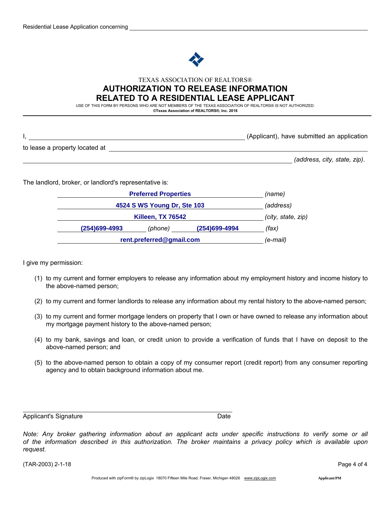

### TEXAS ASSOCIATION OF REALTORS® AUTHORIZATION TO RELEASE INFORMATION RELATED TO A RESIDENTIAL LEASE APPLICANT

USE OF THIS FORM BY PERSONS WHO ARE NOT MEMBERS OF THE TEXAS ASSOCIATION OF REALTORS® IS NOT AUTHORIZED. ©Texas Association of REALTORS®, Inc. 2018

|                                | (Applicant), have submitted an application |
|--------------------------------|--------------------------------------------|
| to lease a property located at |                                            |

*(address, city, state, zip)*.

The landlord, broker, or landlord's representative is:

|               | <b>Preferred Properties</b><br>(name)          |               |       |
|---------------|------------------------------------------------|---------------|-------|
|               | 4524 S WS Young Dr, Ste 103                    |               |       |
|               | <b>Killeen, TX 76542</b><br>(city, state, zip) |               |       |
| (254)699-4993 | (phone)                                        | (254)699-4994 | (fax) |
|               | rent.preferred@gmail.com<br>(e-mail)           |               |       |

I give my permission:

- (1) to my current and former employers to release any information about my employment history and income history to the above-named person;
- (2) to my current and former landlords to release any information about my rental history to the above-named person;
- (3) to my current and former mortgage lenders on property that I own or have owned to release any information about my mortgage payment history to the above-named person;
- (4) to my bank, savings and loan, or credit union to provide a verification of funds that I have on deposit to the above-named person; and
- (5) to the above-named person to obtain a copy of my consumer report (credit report) from any consumer reporting agency and to obtain background information about me.

Applicant's Signature Date Date Date

*Note: Any broker gathering information about an applicant acts under specific instructions to verify some or all of the information described in this authorization. The broker maintains a privacy policy which is available upon request.*

(TAR-2003) 2-1-18 Page 4 of 4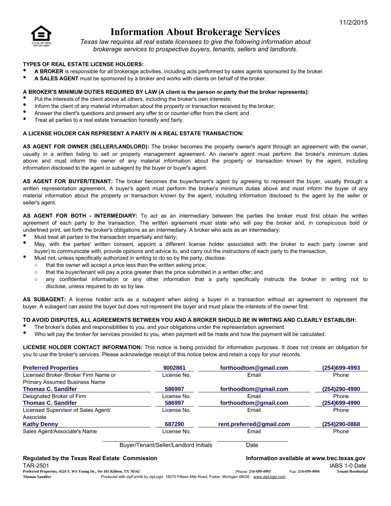

# Information About Brokerage Services

*Texas law requires all real estate licensees to give the following information about brokerage services to prospective buyers, tenants, sellers and landlords.*

### TYPES OF REAL ESTATE LICENSE HOLDERS:

- A BROKER is responsible for all brokerage activities, including acts performed by sales agents sponsored by the broker.
- A SALES AGENT must be sponsored by a broker and works with clients on behalf of the broker.

### A BROKER'S MINIMUM DUTIES REQUIRED BY LAW (A client is the person or party that the broker represents):

- Put the interests of the client above all others, including the broker's own interests;
- Inform the client of any material information about the property or transaction received by the broker;
- Answer the client's questions and present any offer to or counter-offer from the client; and
- Treat all parties to a real estate transaction honestly and fairly.

#### A LICENSE HOLDER CAN REPRESENT A PARTY IN A REAL ESTATE TRANSACTION:

AS AGENT FOR OWNER (SELLER/LANDLORD): The broker becomes the property owner's agent through an agreement with the owner, usually in a written listing to sell or property management agreement. An owner's agent must perform the broker's minimum duties above and must inform the owner of any material information about the property or transaction known by the agent, including information disclosed to the agent or subagent by the buyer or buyer's agent.

AS AGENT FOR BUYER/TENANT: The broker becomes the buyer/tenant's agent by agreeing to represent the buyer, usually through a written representation agreement. A buyer's agent must perform the broker's minimum duties above and must inform the buyer of any material information about the property or transaction known by the agent, including information disclosed to the agent by the seller or seller's agent.

AS AGENT FOR BOTH - INTERMEDIARY: To act as an intermediary between the parties the broker must first obtain the written agreement of each party to the transaction. The written agreement must state who will pay the broker and, in conspicuous bold or underlined print, set forth the broker's obligations as an intermediary. A broker who acts as an intermediary:

- Must treat all parties to the transaction impartially and fairly;
- May, with the parties' written consent, appoint a different license holder associated with the broker to each party (owner and buyer) to communicate with, provide opinions and advice to, and carry out the instructions of each party to the transaction.
- Must not, unless specifically authorized in writing to do so by the party, disclose:
	- that the owner will accept a price less than the written asking price;
	- that the buyer/tenant will pay a price greater than the price submitted in a written offer; and
	- any confidential information or any other information that a party specifically instructs the broker in writing not to disclose, unless required to do so by law.

AS SUBAGENT: A license holder acts as a subagent when aiding a buyer in a transaction without an agreement to represent the buyer. A subagent can assist the buyer but does not represent the buyer and must place the interests of the owner first.

#### TO AVOID DISPUTES, ALL AGREEMENTS BETWEEN YOU AND A BROKER SHOULD BE IN WRITING AND CLEARLY ESTABLISH:

- The broker's duties and responsibilities to you, and your obligations under the representation agreement.
- Who will pay the broker for services provided to you, when payment will be made and how the payment will be calculated.

LICENSE HOLDER CONTACT INFORMATION: This notice is being provided for information purposes. It does not create an obligation for you to use the broker's services. Please acknowledge receipt of this notice below and retain a copy for your records.

| <b>Preferred Properties</b>           | 9002861                               | forthoodtom@qmail.com    | (254)699-4993 |
|---------------------------------------|---------------------------------------|--------------------------|---------------|
| Licensed Broker / Broker Firm Name or | License No.                           | Email                    | Phone         |
| <b>Primary Assumed Business Name</b>  |                                       |                          |               |
| <b>Thomas C. Sandifer</b>             | 586997                                | forthoodtom@qmail.com    | (254)290-4990 |
| Designated Broker of Firm             | License No.                           | Email                    | Phone         |
| <b>Thomas C. Sandifer</b>             | 586997                                | forthoodtom@qmail.com    | (254)699-4990 |
| Licensed Supervisor of Sales Agent/   | License No.                           | Email                    | Phone         |
| Associate                             |                                       |                          |               |
| <b>Kathy Denny</b>                    | 687290                                | rent.preferred@qmail.com | (254)290-0868 |
| Sales Agent/Associate's Name          | License No.                           | Email                    | Phone         |
|                                       | Buyer/Tenant/Seller/Landlord Initials | Date                     |               |

| Regulated by the Texas Real Estate Commission                         |                                                                                                     |                     |                   | Information available at www.trec.texas.gov |
|-----------------------------------------------------------------------|-----------------------------------------------------------------------------------------------------|---------------------|-------------------|---------------------------------------------|
| TAR-2501                                                              |                                                                                                     |                     |                   | IABS 1-0 Date                               |
| Preferred Properties, 4524 S. WS Young Dr., Ste 103 Killeen, TX 76542 |                                                                                                     | Phone: 254-699-4993 | Fax: 254-699-4994 | <b>Tenant Residential</b>                   |
| Thomas Sandifer                                                       | Produced with zipForm® by zipLogix 18070 Fifteen Mile Road, Fraser, Michigan 48026 www.zipLogix.com |                     |                   |                                             |